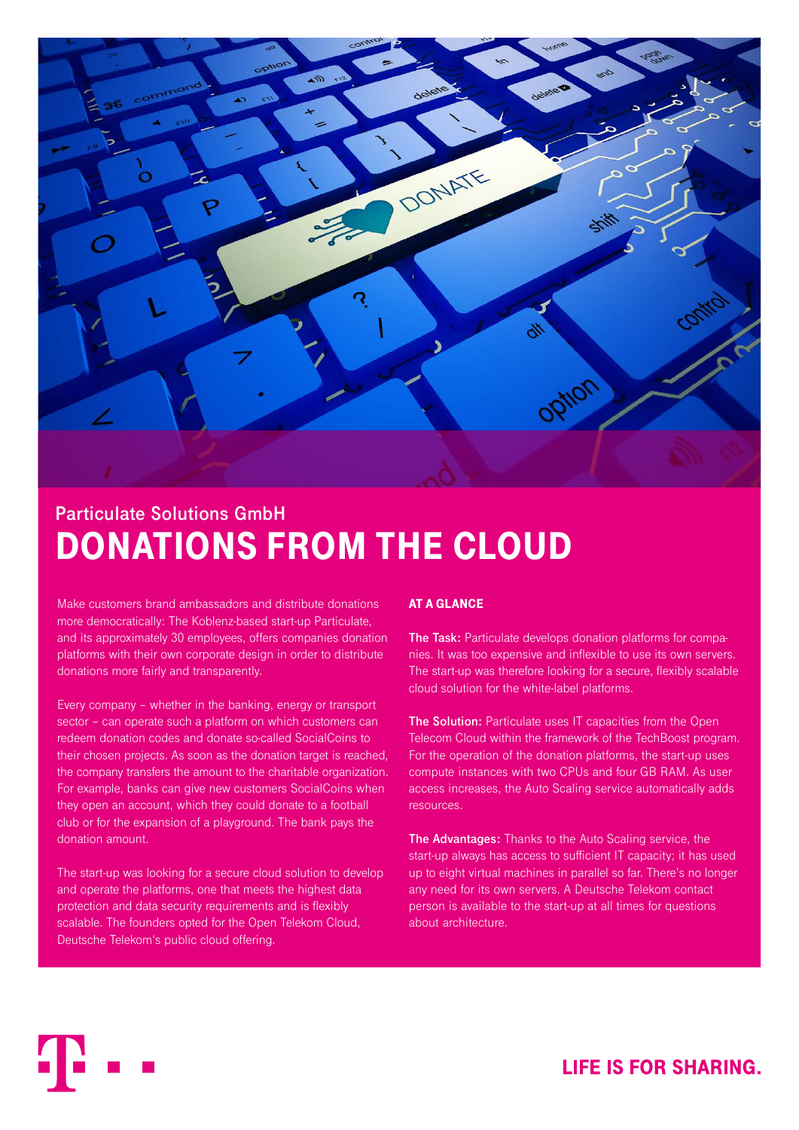

# **Particulate Solutions GmbH** DONATIONS FROM THE CLOUD

Make customers brand ambassadors and distribute donations more democratically: The Koblenz-based start-up Particulate, and its approximately 30 employees, offers companies donation platforms with their own corporate design in order to distribute donations more fairly and transparently.

Every company – whether in the banking, energy or transport sector – can operate such a platform on which customers can redeem donation codes and donate so-called SocialCoins to their chosen projects. As soon as the donation target is reached, the company transfers the amount to the charitable organization. For example, banks can give new customers SocialCoins when they open an account, which they could donate to a football club or for the expansion of a playground. The bank pays the donation amount.

The start-up was looking for a secure cloud solution to develop and operate the platforms, one that meets the highest data protection and data security requirements and is flexibly scalable. The founders opted for the Open Telekom Cloud, Deutsche Telekom's public cloud offering.

## AT A GLANCE

**The Task:** Particulate develops donation platforms for companies. It was too expensive and inflexible to use its own servers. The start-up was therefore looking for a secure, flexibly scalable cloud solution for the white-label platforms.

**The Solution:** Particulate uses IT capacities from the Open Telecom Cloud within the framework of the TechBoost program. For the operation of the donation platforms, the start-up uses compute instances with two CPUs and four GB RAM. As user access increases, the Auto Scaling service automatically adds resources.

**The Advantages:** Thanks to the Auto Scaling service, the start-up always has access to sufficient IT capacity; it has used up to eight virtual machines in parallel so far. There's no longer any need for its own servers. A Deutsche Telekom contact person is available to the start-up at all times for questions about architecture.

# **LIFE IS FOR SHARING.**